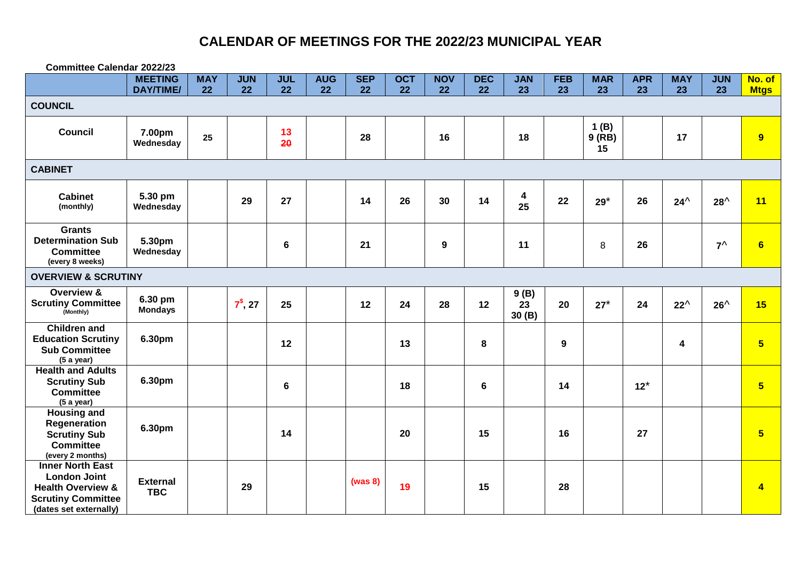| <b>Committee Calendar 2022/23</b>                                                                                                     |                               |            |               |                 |            |            |            |                  |            |                     |            |                     |            |               |               |                 |
|---------------------------------------------------------------------------------------------------------------------------------------|-------------------------------|------------|---------------|-----------------|------------|------------|------------|------------------|------------|---------------------|------------|---------------------|------------|---------------|---------------|-----------------|
|                                                                                                                                       | <b>MEETING</b>                | <b>MAY</b> | <b>JUN</b>    | <b>JUL</b>      | <b>AUG</b> | <b>SEP</b> | <b>OCT</b> | <b>NOV</b>       | <b>DEC</b> | <b>JAN</b>          | <b>FEB</b> | <b>MAR</b>          | <b>APR</b> | <b>MAY</b>    | <b>JUN</b>    | No. of          |
|                                                                                                                                       | <b>DAY/TIME/</b>              | 22         | 22            | 22              | 22         | 22         | 22         | 22               | 22         | 23                  | 23         | 23                  | 23         | 23            | 23            | <b>Mtgs</b>     |
| <b>COUNCIL</b>                                                                                                                        |                               |            |               |                 |            |            |            |                  |            |                     |            |                     |            |               |               |                 |
| <b>Council</b>                                                                                                                        | 7.00pm<br>Wednesday           | 25         |               | 13<br>20        |            | 28         |            | 16               |            | 18                  |            | 1(B)<br>9(RB)<br>15 |            | 17            |               | 9               |
| <b>CABINET</b>                                                                                                                        |                               |            |               |                 |            |            |            |                  |            |                     |            |                     |            |               |               |                 |
| <b>Cabinet</b><br>(monthly)                                                                                                           | 5.30 pm<br>Wednesday          |            | 29            | 27              |            | 14         | 26         | 30               | 14         | 4<br>25             | 22         | $29*$               | 26         | $24^{\wedge}$ | $28^{\wedge}$ | 11              |
| <b>Grants</b><br><b>Determination Sub</b><br><b>Committee</b><br>(every 8 weeks)                                                      | 5.30pm<br>Wednesday           |            |               | $6\phantom{1}6$ |            | 21         |            | $\boldsymbol{9}$ |            | 11                  |            | 8                   | 26         |               | $7^{\wedge}$  | $6\phantom{a}$  |
| <b>OVERVIEW &amp; SCRUTINY</b>                                                                                                        |                               |            |               |                 |            |            |            |                  |            |                     |            |                     |            |               |               |                 |
| Overview &<br><b>Scrutiny Committee</b><br>(Monthly)                                                                                  | 6.30 pm<br><b>Mondays</b>     |            | $7^{\$}$ , 27 | 25              |            | 12         | 24         | 28               | 12         | 9(B)<br>23<br>30(B) | 20         | $27*$               | 24         | $22^{\wedge}$ | $26^{\wedge}$ | 15              |
| <b>Children and</b><br><b>Education Scrutiny</b><br><b>Sub Committee</b><br>(5 a year)                                                | 6.30pm                        |            |               | 12              |            |            | 13         |                  | 8          |                     | 9          |                     |            | 4             |               | $5\overline{)}$ |
| <b>Health and Adults</b><br><b>Scrutiny Sub</b><br><b>Committee</b><br>(5 a year)                                                     | 6.30pm                        |            |               | $6\phantom{1}6$ |            |            | 18         |                  | 6          |                     | 14         |                     | $12^*$     |               |               | $5\overline{)}$ |
| <b>Housing and</b><br>Regeneration<br><b>Scrutiny Sub</b><br><b>Committee</b><br>(every 2 months)                                     | 6.30pm                        |            |               | 14              |            |            | 20         |                  | 15         |                     | 16         |                     | 27         |               |               | $5\overline{5}$ |
| <b>Inner North East</b><br><b>London Joint</b><br><b>Health Overview &amp;</b><br><b>Scrutiny Committee</b><br>(dates set externally) | <b>External</b><br><b>TBC</b> |            | 29            |                 |            | (was 8)    | 19         |                  | 15         |                     | 28         |                     |            |               |               | $\overline{4}$  |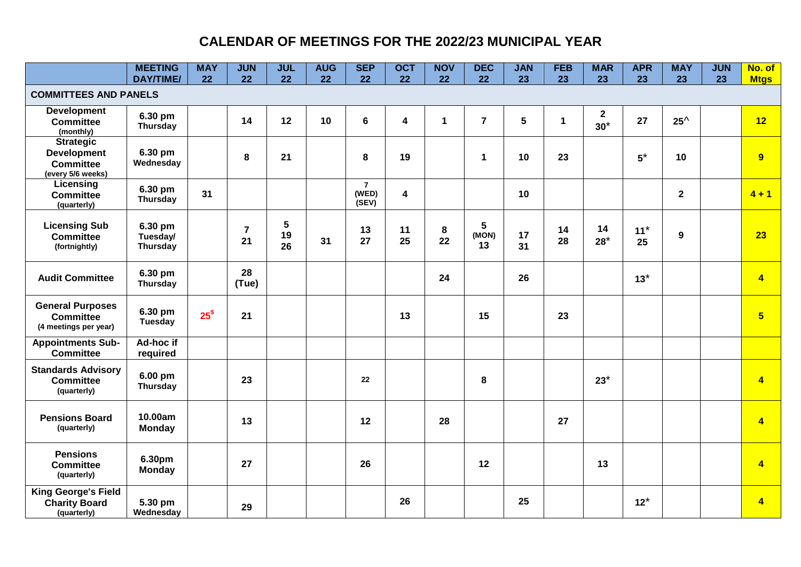|                                                                                 | <b>MEETING</b><br><b>DAY/TIME/</b> | <b>MAY</b><br>22 | <b>JUN</b><br>22     | <b>JUL</b><br>22 | <b>AUG</b><br>22 | <b>SEP</b><br>22                 | <b>OCT</b><br>22        | <b>NOV</b><br>22 | <b>DEC</b><br>22               | <b>JAN</b><br>23 | <b>FEB</b><br>23 | <b>MAR</b><br>23      | <b>APR</b><br>23 | <b>MAY</b><br>23 | <b>JUN</b><br>23 | No. of<br><b>Mtgs</b> |
|---------------------------------------------------------------------------------|------------------------------------|------------------|----------------------|------------------|------------------|----------------------------------|-------------------------|------------------|--------------------------------|------------------|------------------|-----------------------|------------------|------------------|------------------|-----------------------|
| <b>COMMITTEES AND PANELS</b>                                                    |                                    |                  |                      |                  |                  |                                  |                         |                  |                                |                  |                  |                       |                  |                  |                  |                       |
| <b>Development</b><br><b>Committee</b><br>(monthly)                             | 6.30 pm<br><b>Thursday</b>         |                  | 14                   | 12               | 10               | $6\phantom{a}$                   | $\overline{\mathbf{4}}$ | $\mathbf 1$      | $\overline{7}$                 | 5                | $\mathbf{1}$     | $\mathbf{2}$<br>$30*$ | 27               | $25^{\wedge}$    |                  | 12                    |
| <b>Strategic</b><br><b>Development</b><br><b>Committee</b><br>(every 5/6 weeks) | 6.30 pm<br>Wednesday               |                  | 8                    | 21               |                  | 8                                | 19                      |                  | $\blacktriangleleft$           | 10               | 23               |                       | $5^*$            | 10               |                  | 9                     |
| Licensing<br><b>Committee</b><br>(quarterly)                                    | 6.30 pm<br>Thursday                | 31               |                      |                  |                  | $\overline{7}$<br>(WED)<br>(SEV) | $\overline{\mathbf{4}}$ |                  |                                | 10               |                  |                       |                  | $\mathbf{2}$     |                  | $4 + 1$               |
| <b>Licensing Sub</b><br><b>Committee</b><br>(fortnightly)                       | 6.30 pm<br>Tuesday/<br>Thursday    |                  | $\overline{7}$<br>21 | 5<br>19<br>26    | 31               | 13<br>27                         | 11<br>25                | 8<br>22          | $5\phantom{.0}$<br>(MON)<br>13 | 17<br>31         | 14<br>28         | 14<br>$28*$           | $11*$<br>25      | 9                |                  | 23                    |
| <b>Audit Committee</b>                                                          | 6.30 pm<br>Thursday                |                  | 28<br>(Tue)          |                  |                  |                                  |                         | 24               |                                | 26               |                  |                       | $13*$            |                  |                  | $\overline{4}$        |
| <b>General Purposes</b><br><b>Committee</b><br>(4 meetings per year)            | 6.30 pm<br><b>Tuesday</b>          | 25 <sup>⁵</sup>  | 21                   |                  |                  |                                  | 13                      |                  | 15                             |                  | 23               |                       |                  |                  |                  | 5 <sub>5</sub>        |
| <b>Appointments Sub-</b><br><b>Committee</b>                                    | Ad-hoc if<br>required              |                  |                      |                  |                  |                                  |                         |                  |                                |                  |                  |                       |                  |                  |                  |                       |
| <b>Standards Advisory</b><br><b>Committee</b><br>(quarterly)                    | 6.00 pm<br><b>Thursday</b>         |                  | 23                   |                  |                  | 22                               |                         |                  | 8                              |                  |                  | $23*$                 |                  |                  |                  | $\overline{4}$        |
| <b>Pensions Board</b><br>(quarterly)                                            | 10.00am<br><b>Monday</b>           |                  | 13                   |                  |                  | 12                               |                         | 28               |                                |                  | 27               |                       |                  |                  |                  | $\overline{4}$        |
| <b>Pensions</b><br><b>Committee</b><br>(quarterly)                              | 6.30pm<br><b>Monday</b>            |                  | 27                   |                  |                  | 26                               |                         |                  | 12                             |                  |                  | 13                    |                  |                  |                  | $\overline{4}$        |
| <b>King George's Field</b><br><b>Charity Board</b><br>(quarterly)               | 5.30 pm<br>Wednesday               |                  | 29                   |                  |                  |                                  | 26                      |                  |                                | 25               |                  |                       | $12^*$           |                  |                  | $\overline{4}$        |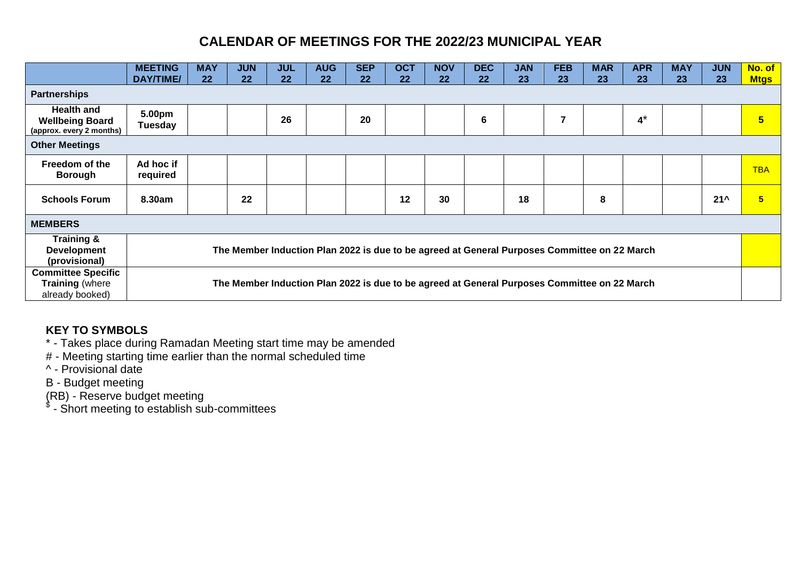|                                                                         | <b>MEETING</b><br>DAY/TIME/ | <b>MAY</b><br>22                                                                             | <b>JUN</b><br>22 | <b>JUL</b><br>22 | <b>AUG</b><br>22                                                                             | <b>SEP</b><br>22 | <b>OCT</b><br>22 | <b>NOV</b><br>22 | <b>DEC</b><br>22 | <b>JAN</b><br>23 | <b>FEB</b><br>23 | <b>MAR</b><br>23 | <b>APR</b><br>23 | <b>MAY</b><br>23 | <b>JUN</b><br>23 | No. of<br><b>Mtgs</b> |
|-------------------------------------------------------------------------|-----------------------------|----------------------------------------------------------------------------------------------|------------------|------------------|----------------------------------------------------------------------------------------------|------------------|------------------|------------------|------------------|------------------|------------------|------------------|------------------|------------------|------------------|-----------------------|
| <b>Partnerships</b>                                                     |                             |                                                                                              |                  |                  |                                                                                              |                  |                  |                  |                  |                  |                  |                  |                  |                  |                  |                       |
| <b>Health and</b><br><b>Wellbeing Board</b><br>(approx. every 2 months) | 5.00pm<br><b>Tuesday</b>    |                                                                                              |                  | 26               |                                                                                              | 20               |                  |                  | 6                |                  | 7                |                  | $4^*$            |                  |                  | $5\phantom{a}$        |
| <b>Other Meetings</b>                                                   |                             |                                                                                              |                  |                  |                                                                                              |                  |                  |                  |                  |                  |                  |                  |                  |                  |                  |                       |
| Freedom of the<br><b>Borough</b>                                        | Ad hoc if<br>required       |                                                                                              |                  |                  |                                                                                              |                  |                  |                  |                  |                  |                  |                  |                  |                  |                  | <b>TBA</b>            |
| <b>Schools Forum</b>                                                    | 8.30am                      |                                                                                              | 22               |                  |                                                                                              |                  | 12               | 30               |                  | 18               |                  | 8                |                  |                  | $21^{\prime}$    | 5 <sup>5</sup>        |
| <b>MEMBERS</b>                                                          |                             |                                                                                              |                  |                  |                                                                                              |                  |                  |                  |                  |                  |                  |                  |                  |                  |                  |                       |
| Training &<br><b>Development</b><br>(provisional)                       |                             | The Member Induction Plan 2022 is due to be agreed at General Purposes Committee on 22 March |                  |                  |                                                                                              |                  |                  |                  |                  |                  |                  |                  |                  |                  |                  |                       |
| <b>Committee Specific</b><br><b>Training (where</b><br>already booked)  |                             |                                                                                              |                  |                  | The Member Induction Plan 2022 is due to be agreed at General Purposes Committee on 22 March |                  |                  |                  |                  |                  |                  |                  |                  |                  |                  |                       |

## **KEY TO SYMBOLS**

\* - Takes place during Ramadan Meeting start time may be amended

# - Meeting starting time earlier than the normal scheduled time

^ - Provisional date

B - Budget meeting

(RB) - Reserve budget meeting \$ - Short meeting to establish sub-committees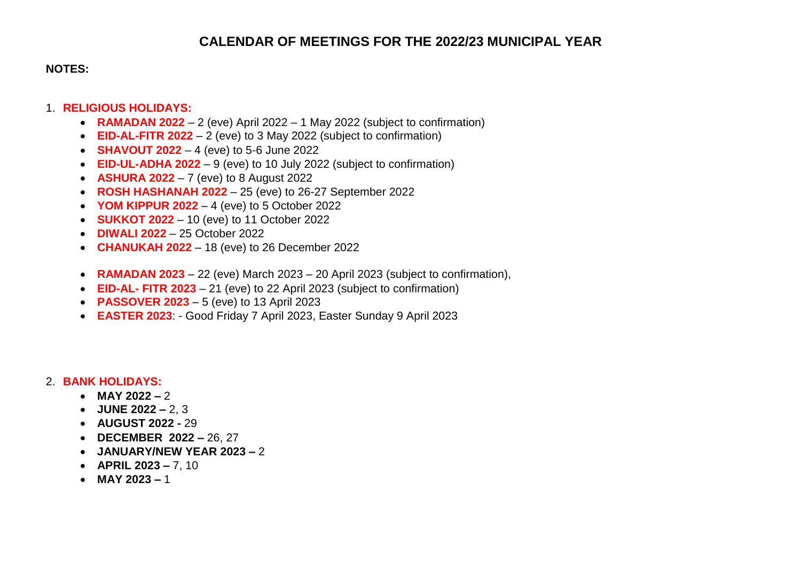#### **NOTES:**

#### 1. **RELIGIOUS HOLIDAYS:**

- **RAMADAN 2022** 2 (eve) April 2022 1 May 2022 (subject to confirmation)
- **EID-AL-FITR 2022** 2 (eve) to 3 May 2022 (subject to confirmation)
- **SHAVOUT 2022** 4 (eve) to 5-6 June 2022
- **EID-UL-ADHA 2022** 9 (eve) to 10 July 2022 (subject to confirmation)
- **ASHURA 2022** 7 (eve) to 8 August 2022
- **ROSH HASHANAH 2022**  25 (eve) to 26-27 September 2022
- **YOM KIPPUR 2022** 4 (eve) to 5 October 2022
- **SUKKOT 2022** 10 (eve) to 11 October 2022
- **DIWALI 2022**  25 October 2022
- **CHANUKAH 2022**  18 (eve) to 26 December 2022
- **RAMADAN 2023**  22 (eve) March 2023 20 April 2023 (subject to confirmation),
- **EID-AL- FITR 2023** 21 (eve) to 22 April 2023 (subject to confirmation)
- **PASSOVER 2023**  5 (eve) to 13 April 2023
- **EASTER 2023**: Good Friday 7 April 2023, Easter Sunday 9 April 2023

#### 2. **BANK HOLIDAYS:**

- **MAY 2022** 2
- **JUNE 2022 –** 2, 3
- **AUGUST 2022 -** 29
- **DECEMBER 2022 –** 26, 27
- **JANUARY/NEW YEAR 2023 –** 2
- **APRIL 2023 –** 7, 10
- $MAY 2023 1$